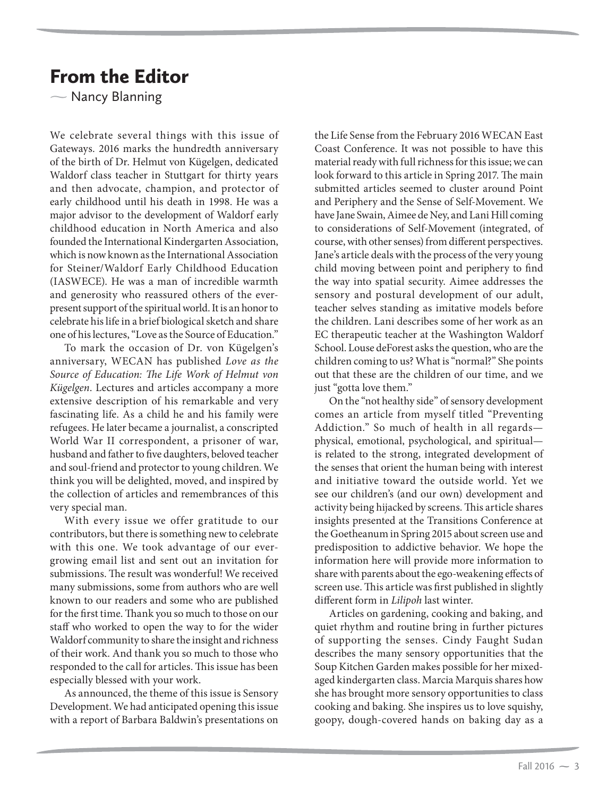## From the Editor

 $\overline{\phantom{0}}$ Nancy Blanning

We celebrate several things with this issue of Gateways. 2016 marks the hundredth anniversary of the birth of Dr. Helmut von Kügelgen, dedicated Waldorf class teacher in Stuttgart for thirty years and then advocate, champion, and protector of early childhood until his death in 1998. He was a major advisor to the development of Waldorf early childhood education in North America and also founded the International Kindergarten Association, which is now known as the International Association for Steiner/Waldorf Early Childhood Education (IASWECE). He was a man of incredible warmth and generosity who reassured others of the everpresent support of the spiritual world. It is an honor to celebrate his life in a brief biological sketch and share one of his lectures, "Love as the Source of Education."

To mark the occasion of Dr. von Kügelgen's anniversary, WECAN has published *Love as the Source of Education: The Life Work of Helmut von Kügelgen*. Lectures and articles accompany a more extensive description of his remarkable and very fascinating life. As a child he and his family were refugees. He later became a journalist, a conscripted World War II correspondent, a prisoner of war, husband and father to five daughters, beloved teacher and soul-friend and protector to young children. We think you will be delighted, moved, and inspired by the collection of articles and remembrances of this very special man.

With every issue we offer gratitude to our contributors, but there is something new to celebrate with this one. We took advantage of our evergrowing email list and sent out an invitation for submissions. The result was wonderful! We received many submissions, some from authors who are well known to our readers and some who are published for the first time. Thank you so much to those on our staff who worked to open the way to for the wider Waldorf community to share the insight and richness of their work. And thank you so much to those who responded to the call for articles. This issue has been especially blessed with your work.

As announced, the theme of this issue is Sensory Development. We had anticipated opening this issue with a report of Barbara Baldwin's presentations on

the Life Sense from the February 2016 WECAN East Coast Conference. It was not possible to have this material ready with full richness for this issue; we can look forward to this article in Spring 2017. The main submitted articles seemed to cluster around Point and Periphery and the Sense of Self-Movement. We have Jane Swain, Aimee de Ney, and Lani Hill coming to considerations of Self-Movement (integrated, of course, with other senses) from different perspectives. Jane's article deals with the process of the very young child moving between point and periphery to find the way into spatial security. Aimee addresses the sensory and postural development of our adult, teacher selves standing as imitative models before the children. Lani describes some of her work as an EC therapeutic teacher at the Washington Waldorf School. Louse deForest asks the question, who are the children coming to us? What is "normal?" She points out that these are the children of our time, and we just "gotta love them."

On the "not healthy side" of sensory development comes an article from myself titled "Preventing Addiction." So much of health in all regards physical, emotional, psychological, and spiritual is related to the strong, integrated development of the senses that orient the human being with interest and initiative toward the outside world. Yet we see our children's (and our own) development and activity being hijacked by screens. This article shares insights presented at the Transitions Conference at the Goetheanum in Spring 2015 about screen use and predisposition to addictive behavior. We hope the information here will provide more information to share with parents about the ego-weakening effects of screen use. This article was first published in slightly different form in *Lilipoh* last winter.

Articles on gardening, cooking and baking, and quiet rhythm and routine bring in further pictures of supporting the senses. Cindy Faught Sudan describes the many sensory opportunities that the Soup Kitchen Garden makes possible for her mixedaged kindergarten class. Marcia Marquis shares how she has brought more sensory opportunities to class cooking and baking. She inspires us to love squishy, goopy, dough-covered hands on baking day as a